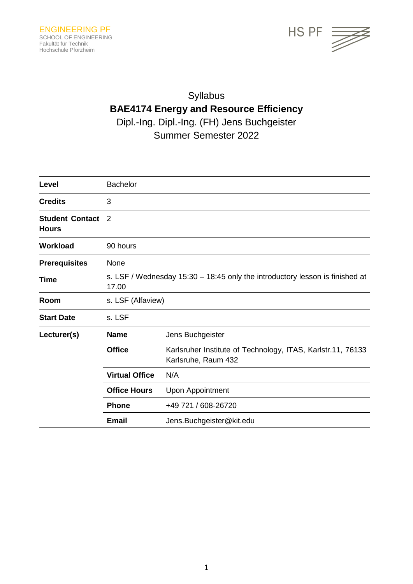

# Syllabus **BAE4174 Energy and Resource Efficiency** Dipl.-Ing. Dipl.-Ing. (FH) Jens Buchgeister Summer Semester 2022

| Level                                  | <b>Bachelor</b>                                                                       |                                                                                    |  |
|----------------------------------------|---------------------------------------------------------------------------------------|------------------------------------------------------------------------------------|--|
| <b>Credits</b>                         | 3                                                                                     |                                                                                    |  |
| <b>Student Contact</b><br><b>Hours</b> | 2                                                                                     |                                                                                    |  |
| <b>Workload</b>                        | 90 hours                                                                              |                                                                                    |  |
| <b>Prerequisites</b>                   | None                                                                                  |                                                                                    |  |
| Time                                   | s. LSF / Wednesday 15:30 - 18:45 only the introductory lesson is finished at<br>17.00 |                                                                                    |  |
| Room                                   | s. LSF (Alfaview)                                                                     |                                                                                    |  |
| <b>Start Date</b>                      | s. LSF                                                                                |                                                                                    |  |
| Lecturer(s)                            | <b>Name</b>                                                                           | Jens Buchgeister                                                                   |  |
|                                        | <b>Office</b>                                                                         | Karlsruher Institute of Technology, ITAS, Karlstr.11, 76133<br>Karlsruhe, Raum 432 |  |
|                                        | <b>Virtual Office</b>                                                                 | N/A                                                                                |  |
|                                        | <b>Office Hours</b>                                                                   | Upon Appointment                                                                   |  |
|                                        | <b>Phone</b>                                                                          | +49 721 / 608-26720                                                                |  |
|                                        | <b>Email</b>                                                                          | Jens. Buchgeister@kit.edu                                                          |  |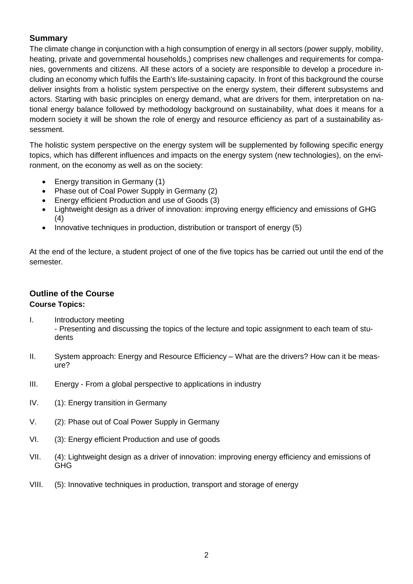## **Summary**

The climate change in conjunction with a high consumption of energy in all sectors (power supply, mobility, heating, private and governmental households,) comprises new challenges and requirements for companies, governments and citizens. All these actors of a society are responsible to develop a procedure including an economy which fulfils the Earth's life-sustaining capacity. In front of this background the course deliver insights from a holistic system perspective on the energy system, their different subsystems and actors. Starting with basic principles on energy demand, what are drivers for them, interpretation on national energy balance followed by methodology background on sustainability, what does it means for a modern society it will be shown the role of energy and resource efficiency as part of a sustainability assessment.

The holistic system perspective on the energy system will be supplemented by following specific energy topics, which has different influences and impacts on the energy system (new technologies), on the environment, on the economy as well as on the society:

- Energy transition in Germany (1)
- Phase out of Coal Power Supply in Germany (2)
- Energy efficient Production and use of Goods (3)
- Lightweight design as a driver of innovation: improving energy efficiency and emissions of GHG (4)
- Innovative techniques in production, distribution or transport of energy (5)

At the end of the lecture, a student project of one of the five topics has be carried out until the end of the semester.

# **Outline of the Course Course Topics:**

- I. Introductory meeting - Presenting and discussing the topics of the lecture and topic assignment to each team of students
- II. System approach: Energy and Resource Efficiency What are the drivers? How can it be measure?
- III. Energy From a global perspective to applications in industry
- IV. (1): Energy transition in Germany
- V. (2): Phase out of Coal Power Supply in Germany
- VI. (3): Energy efficient Production and use of goods
- VII. (4): Lightweight design as a driver of innovation: improving energy efficiency and emissions of GHG
- VIII. (5): Innovative techniques in production, transport and storage of energy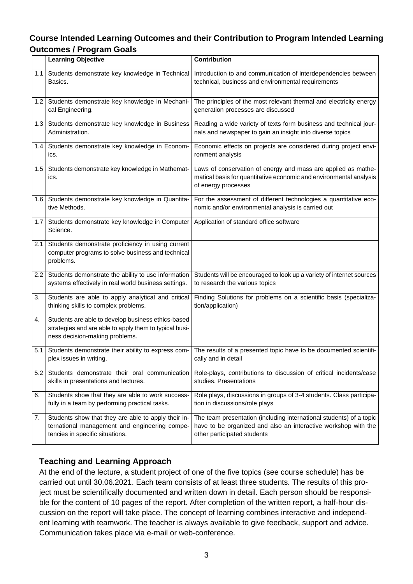# **Course Intended Learning Outcomes and their Contribution to Program Intended Learning Outcomes / Program Goals**

|     | <b>Learning Objective</b>                                                                                                                      | <b>Contribution</b>                                                                                                                                                  |
|-----|------------------------------------------------------------------------------------------------------------------------------------------------|----------------------------------------------------------------------------------------------------------------------------------------------------------------------|
| 1.1 | Students demonstrate key knowledge in Technical<br>Basics.                                                                                     | Introduction to and communication of interdependencies between<br>technical, business and environmental requirements                                                 |
| 1.2 | Students demonstrate key knowledge in Mechani-<br>cal Engineering.                                                                             | The principles of the most relevant thermal and electricity energy<br>generation processes are discussed                                                             |
| 1.3 | Students demonstrate key knowledge in Business<br>Administration.                                                                              | Reading a wide variety of texts form business and technical jour-<br>nals and newspaper to gain an insight into diverse topics                                       |
| 1.4 | Students demonstrate key knowledge in Econom-<br>ics.                                                                                          | Economic effects on projects are considered during project envi-<br>ronment analysis                                                                                 |
| 1.5 | Students demonstrate key knowledge in Mathemat-<br>ics.                                                                                        | Laws of conservation of energy and mass are applied as mathe-<br>matical basis for quantitative economic and environmental analysis<br>of energy processes           |
| 1.6 | Students demonstrate key knowledge in Quantita-<br>tive Methods.                                                                               | For the assessment of different technologies a quantitative eco-<br>nomic and/or environmental analysis is carried out                                               |
| 1.7 | Students demonstrate key knowledge in Computer<br>Science.                                                                                     | Application of standard office software                                                                                                                              |
| 2.1 | Students demonstrate proficiency in using current<br>computer programs to solve business and technical<br>problems.                            |                                                                                                                                                                      |
| 2.2 | Students demonstrate the ability to use information<br>systems effectively in real world business settings.                                    | Students will be encouraged to look up a variety of internet sources<br>to research the various topics                                                               |
| 3.  | Students are able to apply analytical and critical<br>thinking skills to complex problems.                                                     | Finding Solutions for problems on a scientific basis (specializa-<br>tion/application)                                                                               |
| 4.  | Students are able to develop business ethics-based<br>strategies and are able to apply them to typical busi-<br>ness decision-making problems. |                                                                                                                                                                      |
| 5.1 | Students demonstrate their ability to express com-<br>plex issues in writing.                                                                  | The results of a presented topic have to be documented scientifi-<br>cally and in detail                                                                             |
| 5.2 | Students demonstrate their oral communication<br>skills in presentations and lectures.                                                         | Role-plays, contributions to discussion of critical incidents/case<br>studies. Presentations                                                                         |
| 6.  | Students show that they are able to work success-<br>fully in a team by performing practical tasks.                                            | Role plays, discussions in groups of 3-4 students. Class participa-<br>tion in discussions/role plays                                                                |
| 7.  | Students show that they are able to apply their in-<br>ternational management and engineering compe-<br>tencies in specific situations.        | The team presentation (including international students) of a topic<br>have to be organized and also an interactive workshop with the<br>other participated students |

# **Teaching and Learning Approach**

At the end of the lecture, a student project of one of the five topics (see course schedule) has be carried out until 30.06.2021. Each team consists of at least three students. The results of this project must be scientifically documented and written down in detail. Each person should be responsible for the content of 10 pages of the report. After completion of the written report, a half-hour discussion on the report will take place. The concept of learning combines interactive and independent learning with teamwork. The teacher is always available to give feedback, support and advice. Communication takes place via e-mail or web-conference.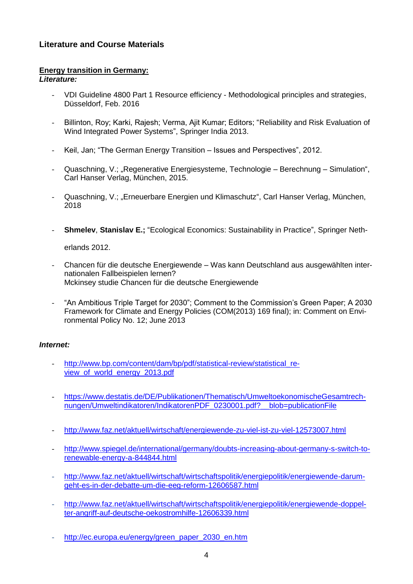## **Literature and Course Materials**

#### **Energy transition in Germany:**

*Literature:*

- VDI Guideline 4800 Part 1 Resource efficiency Methodological principles and strategies, Düsseldorf, Feb. 2016
- Billinton, Roy; Karki, Rajesh; Verma, Ajit Kumar; Editors; "Reliability and Risk Evaluation of Wind Integrated Power Systems", Springer India 2013.
- Keil, Jan; "The German Energy Transition Issues and Perspectives", 2012.
- Quaschning, V.; "Regenerative Energiesysteme, Technologie Berechnung Simulation", Carl Hanser Verlag, München, 2015.
- Quaschning, V.; "Erneuerbare Energien und Klimaschutz", Carl Hanser Verlag, München, 2018
- **Shmelev**, **Stanislav E.;** "Ecological Economics: Sustainability in Practice", Springer Neth-

erlands 2012.

- Chancen für die deutsche Energiewende Was kann Deutschland aus ausgewählten internationalen Fallbeispielen lernen? Mckinsey studie Chancen für die deutsche Energiewende
- "An Ambitious Triple Target for 2030"; Comment to the Commission's Green Paper; A 2030 Framework for Climate and Energy Policies (COM(2013) 169 final); in: Comment on Environmental Policy No. 12; June 2013

#### *Internet:*

- [http://www.bp.com/content/dam/bp/pdf/statistical-review/statistical\\_re](http://www.bp.com/content/dam/bp/pdf/statistical-review/statistical_review_of_world_energy_2013.pdf)[view\\_of\\_world\\_energy\\_2013.pdf](http://www.bp.com/content/dam/bp/pdf/statistical-review/statistical_review_of_world_energy_2013.pdf)
- [https://www.destatis.de/DE/Publikationen/Thematisch/UmweltoekonomischeGesamtrech](https://www.destatis.de/DE/Publikationen/Thematisch/UmweltoekonomischeGesamtrechnungen/Umweltindikatoren/IndikatorenPDF_0230001.pdf?__blob=publicationFile)[nungen/Umweltindikatoren/IndikatorenPDF\\_0230001.pdf?\\_\\_blob=publicationFile](https://www.destatis.de/DE/Publikationen/Thematisch/UmweltoekonomischeGesamtrechnungen/Umweltindikatoren/IndikatorenPDF_0230001.pdf?__blob=publicationFile)
- <http://www.faz.net/aktuell/wirtschaft/energiewende-zu-viel-ist-zu-viel-12573007.html>
- [http://www.spiegel.de/international/germany/doubts-increasing-about-germany-s-switch-to](http://www.spiegel.de/international/germany/doubts-increasing-about-germany-s-switch-to-renewable-energy-a-844844.html)[renewable-energy-a-844844.html](http://www.spiegel.de/international/germany/doubts-increasing-about-germany-s-switch-to-renewable-energy-a-844844.html)
- [http://www.faz.net/aktuell/wirtschaft/wirtschaftspolitik/energiepolitik/energiewende-darum](http://www.faz.net/aktuell/wirtschaft/wirtschaftspolitik/energiepolitik/energiewende-darum-geht-es-in-der-debatte-um-die-eeg-reform-12606587.html)[geht-es-in-der-debatte-um-die-eeg-reform-12606587.html](http://www.faz.net/aktuell/wirtschaft/wirtschaftspolitik/energiepolitik/energiewende-darum-geht-es-in-der-debatte-um-die-eeg-reform-12606587.html)
- [http://www.faz.net/aktuell/wirtschaft/wirtschaftspolitik/energiepolitik/energiewende-doppel](http://www.faz.net/aktuell/wirtschaft/wirtschaftspolitik/energiepolitik/energiewende-doppelter-angriff-auf-deutsche-oekostromhilfe-12606339.html)[ter-angriff-auf-deutsche-oekostromhilfe-12606339.html](http://www.faz.net/aktuell/wirtschaft/wirtschaftspolitik/energiepolitik/energiewende-doppelter-angriff-auf-deutsche-oekostromhilfe-12606339.html)
- [http://ec.europa.eu/energy/green\\_paper\\_2030\\_en.htm](http://ec.europa.eu/energy/green_paper_2030_en.htm)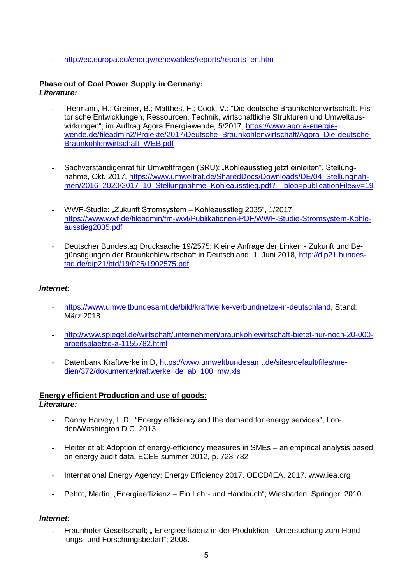- [http://ec.europa.eu/energy/renewables/reports/reports\\_en.htm](http://ec.europa.eu/energy/renewables/reports/reports_en.htm)

#### **Phase out of Coal Power Supply in Germany:** *Literature:*

- Hermann, H.; Greiner, B.; Matthes, F.; Cook, V.: "Die deutsche Braunkohlenwirtschaft. Historische Entwicklungen, Ressourcen, Technik, wirtschaftliche Strukturen und Umweltauswirkungen", im Auftrag Agora Energiewende, 5/2017, [https://www.agora-energie](https://www.agora-energiewende.de/fileadmin2/Projekte/2017/Deutsche_Braunkohlenwirtschaft/Agora_Die-deutsche-Braunkohlenwirtschaft_WEB.pdf)[wende.de/fileadmin2/Projekte/2017/Deutsche\\_Braunkohlenwirtschaft/Agora\\_Die-deutsche-](https://www.agora-energiewende.de/fileadmin2/Projekte/2017/Deutsche_Braunkohlenwirtschaft/Agora_Die-deutsche-Braunkohlenwirtschaft_WEB.pdf)[Braunkohlenwirtschaft\\_WEB.pdf](https://www.agora-energiewende.de/fileadmin2/Projekte/2017/Deutsche_Braunkohlenwirtschaft/Agora_Die-deutsche-Braunkohlenwirtschaft_WEB.pdf)
- Sachverständigenrat für Umweltfragen (SRU): "Kohleausstieg jetzt einleiten". Stellungnahme, Okt. 2017, [https://www.umweltrat.de/SharedDocs/Downloads/DE/04\\_Stellungnah](https://www.umweltrat.de/SharedDocs/Downloads/DE/04_Stellungnahmen/2016_2020/2017_10_Stellungnahme_Kohleausstieg.pdf?__blob=publicationFile&v=19)[men/2016\\_2020/2017\\_10\\_Stellungnahme\\_Kohleausstieg.pdf?\\_\\_blob=publicationFile&v=19](https://www.umweltrat.de/SharedDocs/Downloads/DE/04_Stellungnahmen/2016_2020/2017_10_Stellungnahme_Kohleausstieg.pdf?__blob=publicationFile&v=19)
- WWF-Studie: "Zukunft Stromsystem Kohleausstieg 2035", 1/2017, [https://www.wwf.de/fileadmin/fm-wwf/Publikationen-PDF/WWF-Studie-Stromsystem-Kohle](https://www.wwf.de/fileadmin/fm-wwf/Publikationen-PDF/WWF-Studie-Stromsystem-Kohleausstieg2035.pdf)[ausstieg2035.pdf](https://www.wwf.de/fileadmin/fm-wwf/Publikationen-PDF/WWF-Studie-Stromsystem-Kohleausstieg2035.pdf)
- Deutscher Bundestag Drucksache 19/2575: Kleine Anfrage der Linken Zukunft und Begünstigungen der Braunkohlewirtschaft in Deutschland, 1. Juni 2018, [http://dip21.bundes](http://dip21.bundestag.de/dip21/btd/19/025/1902575.pdf)[tag.de/dip21/btd/19/025/1902575.pdf](http://dip21.bundestag.de/dip21/btd/19/025/1902575.pdf)

#### *Internet:*

- [https://www.umweltbundesamt.de/bild/kraftwerke-verbundnetze-in-deutschland,](https://www.umweltbundesamt.de/bild/kraftwerke-verbundnetze-in-deutschland) Stand: März 2018
- [http://www.spiegel.de/wirtschaft/unternehmen/braunkohlewirtschaft-bietet-nur-noch-20-000](http://www.spiegel.de/wirtschaft/unternehmen/braunkohlewirtschaft-bietet-nur-noch-20-000-arbeitsplaetze-a-1155782.html) [arbeitsplaetze-a-1155782.html](http://www.spiegel.de/wirtschaft/unternehmen/braunkohlewirtschaft-bietet-nur-noch-20-000-arbeitsplaetze-a-1155782.html)
- Datenbank Kraftwerke in D, [https://www.umweltbundesamt.de/sites/default/files/me](https://www.umweltbundesamt.de/sites/default/files/medien/372/dokumente/kraftwerke_de_ab_100_mw.xls)[dien/372/dokumente/kraftwerke\\_de\\_ab\\_100\\_mw.xls](https://www.umweltbundesamt.de/sites/default/files/medien/372/dokumente/kraftwerke_de_ab_100_mw.xls)

# **Energy efficient Production and use of goods:**

### *Literature:*

- Danny Harvey, L.D.; "Energy efficiency and the demand for energy services", London/Washington D.C. 2013.
- Fleiter et al: Adoption of energy-efficiency measures in SMEs an empirical analysis based on energy audit data. ECEE summer 2012, p. 723-732
- International Energy Agency: Energy Efficiency 2017. OECD/IEA, 2017. www.iea.org
- Pehnt, Martin; "Energieeffizienz Ein Lehr- und Handbuch"; Wiesbaden: Springer. 2010.

#### *Internet:*

Fraunhofer Gesellschaft; "Energieeffizienz in der Produktion - Untersuchung zum Handlungs- und Forschungsbedarf"; 2008.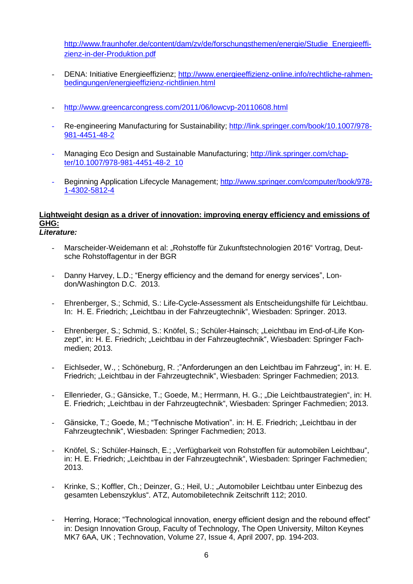[http://www.fraunhofer.de/content/dam/zv/de/forschungsthemen/energie/Studie\\_Energieeffi](http://www.fraunhofer.de/content/dam/zv/de/forschungsthemen/energie/Studie_Energieeffizienz-in-der-Produktion.pdf)[zienz-in-der-Produktion.pdf](http://www.fraunhofer.de/content/dam/zv/de/forschungsthemen/energie/Studie_Energieeffizienz-in-der-Produktion.pdf)

- DENA: Initiative Energieeffizienz; [http://www.energieeffizienz-online.info/rechtliche-rahmen](http://www.energieeffizienz-online.info/rechtliche-rahmenbedingungen/energieeffizienz-richtlinien.html)[bedingungen/energieeffizienz-richtlinien.html](http://www.energieeffizienz-online.info/rechtliche-rahmenbedingungen/energieeffizienz-richtlinien.html)
- <http://www.greencarcongress.com/2011/06/lowcvp-20110608.html>
- Re-engineering Manufacturing for Sustainability; [http://link.springer.com/book/10.1007/978-](http://link.springer.com/book/10.1007/978-981-4451-48-2) [981-4451-48-2](http://link.springer.com/book/10.1007/978-981-4451-48-2)
- Managing Eco Design and Sustainable Manufacturing; [http://link.springer.com/chap](http://link.springer.com/chapter/10.1007/978-981-4451-48-2_10)[ter/10.1007/978-981-4451-48-2\\_10](http://link.springer.com/chapter/10.1007/978-981-4451-48-2_10)
- Beginning Application Lifecycle Management; [http://www.springer.com/computer/book/978-](http://www.springer.com/computer/book/978-1-4302-5812-4) [1-4302-5812-4](http://www.springer.com/computer/book/978-1-4302-5812-4)

# **Lightweight design as a driver of innovation: improving energy efficiency and emissions of GHG:**

- *Literature:*
	- Marscheider-Weidemann et al: "Rohstoffe für Zukunftstechnologien 2016" Vortrag, Deutsche Rohstoffagentur in der BGR
	- Danny Harvey, L.D.; "Energy efficiency and the demand for energy services", London/Washington D.C. 2013.
	- Ehrenberger, S.; Schmid, S.: Life-Cycle-Assessment als Entscheidungshilfe für Leichtbau. In: H. E. Friedrich; "Leichtbau in der Fahrzeugtechnik", Wiesbaden: Springer. 2013.
	- Ehrenberger, S.; Schmid, S.: Knöfel, S.; Schüler-Hainsch; "Leichtbau im End-of-Life Konzept", in: H. E. Friedrich; "Leichtbau in der Fahrzeugtechnik", Wiesbaden: Springer Fachmedien; 2013.
	- Eichlseder, W., ; Schöneburg, R. ;"Anforderungen an den Leichtbau im Fahrzeug", in: H. E. Friedrich; "Leichtbau in der Fahrzeugtechnik", Wiesbaden: Springer Fachmedien; 2013.
	- Ellenrieder, G.; Gänsicke, T.; Goede, M.; Herrmann, H. G.; "Die Leichtbaustrategien", in: H. E. Friedrich; "Leichtbau in der Fahrzeugtechnik", Wiesbaden: Springer Fachmedien; 2013.
	- Gänsicke, T.; Goede, M.; "Technische Motivation". in: H. E. Friedrich; "Leichtbau in der Fahrzeugtechnik", Wiesbaden: Springer Fachmedien; 2013.
	- Knöfel, S.; Schüler-Hainsch, E.; "Verfügbarkeit von Rohstoffen für automobilen Leichtbau", in: H. E. Friedrich; "Leichtbau in der Fahrzeugtechnik", Wiesbaden: Springer Fachmedien; 2013.
	- Krinke, S.; Koffler, Ch.; Deinzer, G.; Heil, U.; "Automobiler Leichtbau unter Einbezug des gesamten Lebenszyklus". ATZ, Automobiletechnik Zeitschrift 112; 2010.
	- Herring, Horace; "Technological innovation, energy efficient design and the rebound effect" in: Design Innovation Group, Faculty of Technology, The Open University, Milton Keynes MK7 6AA, UK ; Technovation, Volume 27, Issue 4, April 2007, pp. 194-203.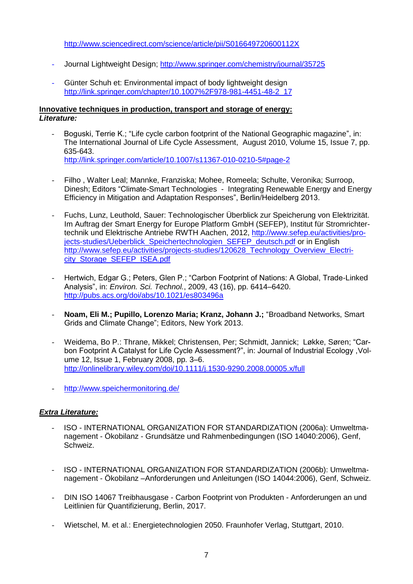<http://www.sciencedirect.com/science/article/pii/S016649720600112X>

- Journal Lightweight Design;<http://www.springer.com/chemistry/journal/35725>
- Günter Schuh et: Environmental impact of body lightweight design [http://link.springer.com/chapter/10.1007%2F978-981-4451-48-2\\_17](http://link.springer.com/chapter/10.1007%2F978-981-4451-48-2_17)

#### **Innovative techniques in production, transport and storage of energy:** *Literature:*

- Boguski, Terrie K.; "Life cycle carbon footprint of the National Geographic magazine", in: [The International Journal of Life Cycle Assessment,](http://link.springer.com/journal/11367) August 2010, Volume 15, [Issue 7,](http://link.springer.com/journal/11367/15/7/page/1) pp. 635-643. <http://link.springer.com/article/10.1007/s11367-010-0210-5#page-2>
- Filho , Walter Leal; Mannke, Franziska; Mohee, Romeela; Schulte, Veronika; Surroop, Dinesh; Editors "Climate-Smart Technologies - Integrating Renewable Energy and Energy Efficiency in Mitigation and Adaptation Responses", Berlin/Heidelberg 2013.
- Fuchs, Lunz, Leuthold, Sauer: Technologischer Überblick zur Speicherung von Elektrizität. Im Auftrag der Smart Energy for Europe Platform GmbH (SEFEP), Institut für Stromrichtertechnik und Elektrische Antriebe RWTH Aachen, 2012, [http://www.sefep.eu/activities/pro](http://www.sefep.eu/activities/projects-studies/Ueberblick_Speichertechnologien_SEFEP_deutsch.pdf)[jects-studies/Ueberblick\\_Speichertechnologien\\_SEFEP\\_deutsch.pdf](http://www.sefep.eu/activities/projects-studies/Ueberblick_Speichertechnologien_SEFEP_deutsch.pdf) or in English [http://www.sefep.eu/activities/projects-studies/120628\\_Technology\\_Overview\\_Electri](http://www.sefep.eu/activities/projects-studies/120628_Technology_Overview_Electricity_Storage_SEFEP_ISEA.pdf)[city\\_Storage\\_SEFEP\\_ISEA.pdf](http://www.sefep.eu/activities/projects-studies/120628_Technology_Overview_Electricity_Storage_SEFEP_ISEA.pdf)
- Hertwich, Edgar G.; Peters, Glen P.; "Carbon Footprint of Nations: A Global, Trade-Linked Analysis", in: *Environ. Sci. Technol.*, 2009, 43 (16), pp. 6414–6420. <http://pubs.acs.org/doi/abs/10.1021/es803496a>
- **Noam, Eli M.; Pupillo, Lorenzo Maria; Kranz, Johann J.;** "Broadband Networks, Smart Grids and Climate Change"; Editors, New York 2013.
- Weidema, Bo P.: Thrane, Mikkel; Christensen, Per; Schmidt, Jannick; Løkke, Søren; "Carbon Footprint A Catalyst for Life Cycle Assessment?", in: Journal of Industrial Ecology [,Vol](http://onlinelibrary.wiley.com/doi/10.1111/jiec.2008.12.issue-1/issuetoc)[ume 12, Issue 1, F](http://onlinelibrary.wiley.com/doi/10.1111/jiec.2008.12.issue-1/issuetoc)ebruary 2008, pp. 3–6. <http://onlinelibrary.wiley.com/doi/10.1111/j.1530-9290.2008.00005.x/full>
- <http://www.speichermonitoring.de/>

### *Extra Literature:*

- ISO INTERNATIONAL ORGANIZATION FOR STANDARDIZATION (2006a): Umweltmanagement - Ökobilanz - Grundsätze und Rahmenbedingungen (ISO 14040:2006), Genf, Schweiz.
- ISO INTERNATIONAL ORGANIZATION FOR STANDARDIZATION (2006b): Umweltmanagement - Ökobilanz –Anforderungen und Anleitungen (ISO 14044:2006), Genf, Schweiz.
- DIN ISO 14067 Treibhausgase Carbon Footprint von Produkten Anforderungen an und Leitlinien für Quantifizierung, Berlin, 2017.
- Wietschel, M. et al.: Energietechnologien 2050. Fraunhofer Verlag, Stuttgart, 2010.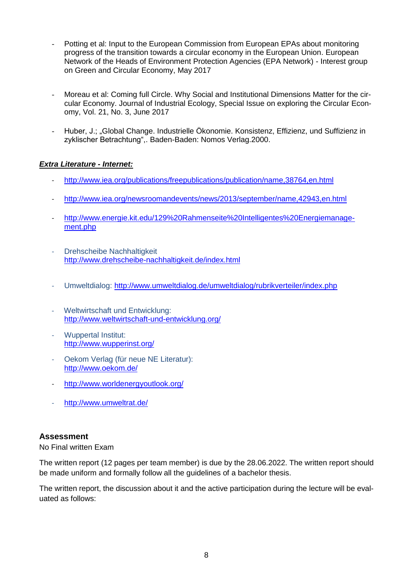- Potting et al: Input to the European Commission from European EPAs about monitoring progress of the transition towards a circular economy in the European Union. European Network of the Heads of Environment Protection Agencies (EPA Network) - Interest group on Green and Circular Economy, May 2017
- Moreau et al: Coming full Circle. Why Social and Institutional Dimensions Matter for the circular Economy. Journal of Industrial Ecology, Special Issue on exploring the Circular Economy, Vol. 21, No. 3, June 2017
- Huber, J.; "Global Change. Industrielle Ökonomie. Konsistenz, Effizienz, und Suffizienz in zyklischer Betrachtung",. Baden-Baden: Nomos Verlag.2000.

#### *Extra Literature - Internet:*

- <http://www.iea.org/publications/freepublications/publication/name,38764,en.html>
- <http://www.iea.org/newsroomandevents/news/2013/september/name,42943,en.html>
- [http://www.energie.kit.edu/129%20Rahmenseite%20Intelligentes%20Energiemanage](http://www.energie.kit.edu/129%20Rahmenseite%20Intelligentes%20Energiemanagement.php)[ment.php](http://www.energie.kit.edu/129%20Rahmenseite%20Intelligentes%20Energiemanagement.php)
- Drehscheibe Nachhaltigkeit <http://www.drehscheibe-nachhaltigkeit.de/index.html>
- Umweltdialog:<http://www.umweltdialog.de/umweltdialog/rubrikverteiler/index.php>
- Weltwirtschaft und Entwicklung: <http://www.weltwirtschaft-und-entwicklung.org/>
- Wuppertal Institut: <http://www.wupperinst.org/>
- Oekom Verlag (für neue NE Literatur): <http://www.oekom.de/>
- <http://www.worldenergyoutlook.org/>
- <http://www.umweltrat.de/>

### **Assessment**

No Final written Exam

The written report (12 pages per team member) is due by the 28.06.2022. The written report should be made uniform and formally follow all the guidelines of a bachelor thesis.

The written report, the discussion about it and the active participation during the lecture will be evaluated as follows: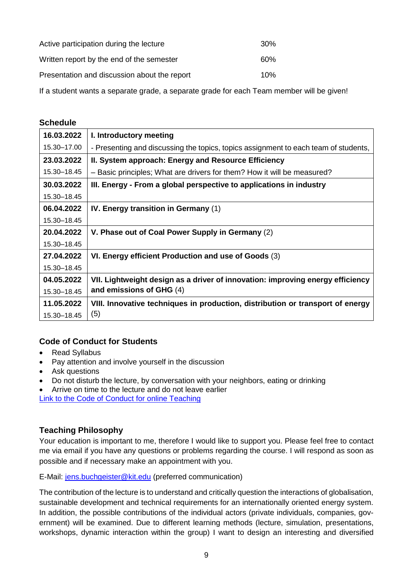| Active participation during the lecture      | 30 <sup>%</sup> |
|----------------------------------------------|-----------------|
| Written report by the end of the semester    | 60%             |
| Presentation and discussion about the report | 10%             |

If a student wants a separate grade, a separate grade for each Team member will be given!

#### **Schedule**

| 16.03.2022  | I. Introductory meeting                                                             |  |  |
|-------------|-------------------------------------------------------------------------------------|--|--|
| 15.30-17.00 | - Presenting and discussing the topics, topics assignment to each team of students, |  |  |
| 23.03.2022  | II. System approach: Energy and Resource Efficiency                                 |  |  |
| 15.30-18.45 | - Basic principles; What are drivers for them? How it will be measured?             |  |  |
| 30.03.2022  | III. Energy - From a global perspective to applications in industry                 |  |  |
| 15.30-18.45 |                                                                                     |  |  |
| 06.04.2022  | IV. Energy transition in Germany (1)                                                |  |  |
| 15.30-18.45 |                                                                                     |  |  |
| 20.04.2022  | V. Phase out of Coal Power Supply in Germany (2)                                    |  |  |
| 15.30-18.45 |                                                                                     |  |  |
| 27.04.2022  | VI. Energy efficient Production and use of Goods (3)                                |  |  |
| 15.30-18.45 |                                                                                     |  |  |
| 04.05.2022  | VII. Lightweight design as a driver of innovation: improving energy efficiency      |  |  |
| 15.30-18.45 | and emissions of GHG (4)                                                            |  |  |
| 11.05.2022  | VIII. Innovative techniques in production, distribution or transport of energy      |  |  |
| 15.30-18.45 | (5)                                                                                 |  |  |

### **Code of Conduct for Students**

- Read Syllabus
- Pay attention and involve yourself in the discussion
- Ask questions
- Do not disturb the lecture, by conversation with your neighbors, eating or drinking
- Arrive on time to the lecture and do not leave earlier

[Link to the Code of Conduct for online Teaching](https://e-campus.hs-pforzheim.de/business_pf/digital_learning_tools_links)

### **Teaching Philosophy**

Your education is important to me, therefore I would like to support you. Please feel free to contact me via email if you have any questions or problems regarding the course. I will respond as soon as possible and if necessary make an appointment with you.

E-Mail: [jens.buchgeister@kit.edu](mailto:jens.buchgeister@kit.edu) (preferred communication)

The contribution of the lecture is to understand and critically question the interactions of globalisation, sustainable development and technical requirements for an internationally oriented energy system. In addition, the possible contributions of the individual actors (private individuals, companies, government) will be examined. Due to different learning methods (lecture, simulation, presentations, workshops, dynamic interaction within the group) I want to design an interesting and diversified